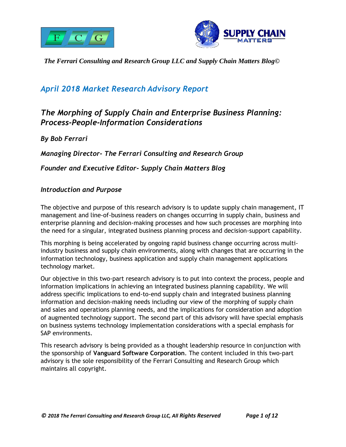



# *April 2018 Market Research Advisory Report*

# <span id="page-0-0"></span>*The Morphing of Supply Chain and Enterprise Business Planning: Process-People-Information Considerations*

*By Bob Ferrari Managing Director- The Ferrari Consulting and Research Group Founder and Executive Editor- Supply Chain Matters Blog*

#### <span id="page-0-1"></span>*Introduction and Purpose*

The objective and purpose of this research advisory is to update supply chain management, IT management and line-of-business readers on changes occurring in supply chain, business and enterprise planning and decision-making processes and how such processes are morphing into the need for a singular, integrated business planning process and decision-support capability.

This morphing is being accelerated by ongoing rapid business change occurring across multiindustry business and supply chain environments, along with changes that are occurring in the information technology, business application and supply chain management applications technology market.

Our objective in this two-part research advisory is to put into context the process, people and information implications in achieving an integrated business planning capability. We will address specific implications to end-to-end supply chain and integrated business planning information and decision-making needs including our view of the morphing of supply chain and sales and operations planning needs, and the implications for consideration and adoption of augmented technology support. The second part of this advisory will have special emphasis on business systems technology implementation considerations with a special emphasis for SAP environments.

This research advisory is being provided as a thought leadership resource in conjunction with the sponsorship of **Vanguard Software Corporation**. The content included in this two-part advisory is the sole responsibility of the Ferrari Consulting and Research Group which maintains all copyright.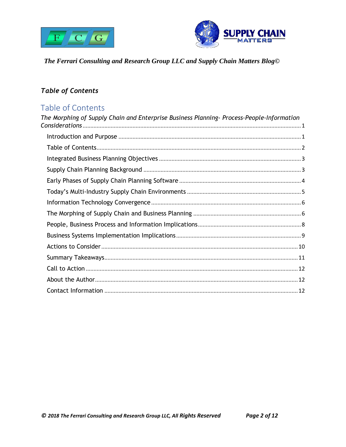



# <span id="page-1-0"></span>**Table of Contents**

# Table of Contents

| The Morphing of Supply Chain and Enterprise Business Planning- Process-People-Information |
|-------------------------------------------------------------------------------------------|
|                                                                                           |
|                                                                                           |
|                                                                                           |
|                                                                                           |
|                                                                                           |
|                                                                                           |
|                                                                                           |
|                                                                                           |
|                                                                                           |
|                                                                                           |
|                                                                                           |
|                                                                                           |
|                                                                                           |
|                                                                                           |
|                                                                                           |
|                                                                                           |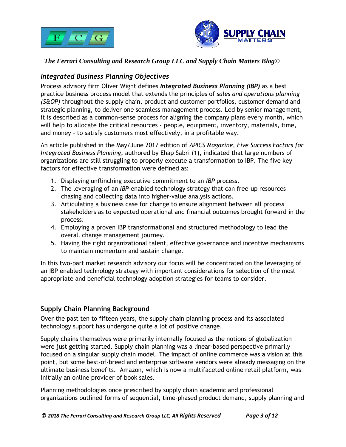



# <span id="page-2-0"></span>*Integrated Business Planning Objectives*

Process advisory firm Oliver Wight defines *Integrated Business Planning (IBP)* as a best practice business process model that extends the principles of *sales and operations planning (S&OP)* throughout the supply chain, product and customer portfolios, customer demand and strategic planning, to deliver one seamless management process. Led by senior management, it is described as a common-sense process for aligning the company plans every month, which will help to allocate the critical resources - people, equipment, inventory, materials, time, and money - to satisfy customers most effectively, in a profitable way.

An article published in the May/June 2017 edition of *APICS Magazine*, *Five Success Factors for Integrated Business Planning*, authored by Ehap Sabri (1), indicated that large numbers of organizations are still struggling to properly execute a transformation to IBP. The five key factors for effective transformation were defined as:

- 1. Displaying unflinching executive commitment to an *IBP* process.
- 2. The leveraging of an *IBP*-enabled technology strategy that can free-up resources chasing and collecting data into higher-value analysis actions.
- 3. Articulating a business case for change to ensure alignment between all process stakeholders as to expected operational and financial outcomes brought forward in the process.
- 4. Employing a proven IBP transformational and structured methodology to lead the overall change management journey.
- 5. Having the right organizational talent, effective governance and incentive mechanisms to maintain momentum and sustain change.

In this two-part market research advisory our focus will be concentrated on the leveraging of an IBP enabled technology strategy with important considerations for selection of the most appropriate and beneficial technology adoption strategies for teams to consider.

# <span id="page-2-1"></span>**Supply Chain Planning Background**

Over the past ten to fifteen years, the supply chain planning process and its associated technology support has undergone quite a lot of positive change.

Supply chains themselves were primarily internally focused as the notions of globalization were just getting started. Supply chain planning was a linear-based perspective primarily focused on a singular supply chain model. The impact of online commerce was a vision at this point, but some best-of-breed and enterprise software vendors were already messaging on the ultimate business benefits. Amazon, which is now a multifaceted online retail platform, was initially an online provider of book sales.

Planning methodologies once prescribed by supply chain academic and professional organizations outlined forms of sequential, time-phased product demand, supply planning and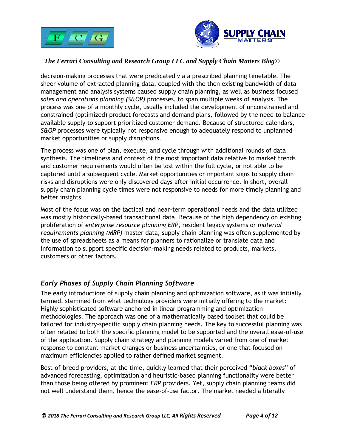



decision-making processes that were predicated via a prescribed planning timetable. The sheer volume of extracted planning data, coupled with the then existing bandwidth of data management and analysis systems caused supply chain planning, as well as business focused *sales and operations planning (S&OP)* processes, to span multiple weeks of analysis. The process was one of a monthly cycle, usually included the development of unconstrained and constrained (optimized) product forecasts and demand plans, followed by the need to balance available supply to support prioritized customer demand. Because of structured calendars, *S&OP* processes were typically not responsive enough to adequately respond to unplanned market opportunities or supply disruptions.

The process was one of plan, execute, and cycle through with additional rounds of data synthesis. The timeliness and context of the most important data relative to market trends and customer requirements would often be lost within the full cycle, or not able to be captured until a subsequent cycle. Market opportunities or important signs to supply chain risks and disruptions were only discovered days after initial occurrence. In short, overall supply chain planning cycle times were not responsive to needs for more timely planning and better insights

Most of the focus was on the tactical and near-term operational needs and the data utilized was mostly historically-based transactional data. Because of the high dependency on existing proliferation of *enterprise resource planning ERP*, resident legacy systems or *material requirements planning (MRP)* master data, supply chain planning was often supplemented by the use of spreadsheets as a means for planners to rationalize or translate data and information to support specific decision-making needs related to products, markets, customers or other factors.

# <span id="page-3-0"></span>*Early Phases of Supply Chain Planning Software*

The early introductions of supply chain planning and optimization software, as it was initially termed, stemmed from what technology providers were initially offering to the market: Highly sophisticated software anchored in linear programming and optimization methodologies. The approach was one of a mathematically based toolset that could be tailored for industry-specific supply chain planning needs. The key to successful planning was often related to both the specific planning model to be supported and the overall ease-of-use of the application. Supply chain strategy and planning models varied from one of market response to constant market changes or business uncertainties, or one that focused on maximum efficiencies applied to rather defined market segment.

Best-of-breed providers, at the time, quickly learned that their perceived "*black boxes*" of advanced forecasting, optimization and heuristic-based planning functionality were better than those being offered by prominent *ERP* providers. Yet, supply chain planning teams did not well understand them, hence the ease-of-use factor. The market needed a literally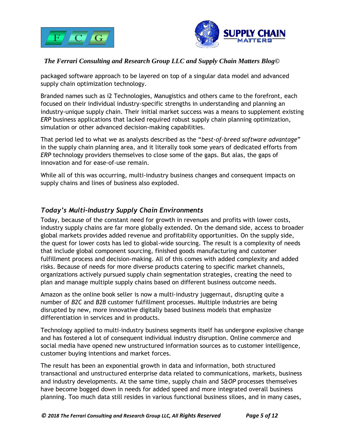



packaged software approach to be layered on top of a singular data model and advanced supply chain optimization technology.

Branded names such as i2 Technologies, Manugistics and others came to the forefront, each focused on their individual industry-specific strengths in understanding and planning an industry-unique supply chain. Their initial market success was a means to supplement existing *ERP* business applications that lacked required robust supply chain planning optimization, simulation or other advanced decision-making capabilities.

That period led to what we as analysts described as the "*best-of-breed software advantage*" in the supply chain planning area, and it literally took some years of dedicated efforts from *ERP* technology providers themselves to close some of the gaps. But alas, the gaps of innovation and for ease-of-use remain.

While all of this was occurring, multi-industry business changes and consequent impacts on supply chains and lines of business also exploded.

## <span id="page-4-0"></span>*Today's Multi-Industry Supply Chain Environments*

Today, because of the constant need for growth in revenues and profits with lower costs, industry supply chains are far more globally extended. On the demand side, access to broader global markets provides added revenue and profitability opportunities. On the supply side, the quest for lower costs has led to global-wide sourcing. The result is a complexity of needs that include global component sourcing, finished goods manufacturing and customer fulfillment process and decision-making. All of this comes with added complexity and added risks. Because of needs for more diverse products catering to specific market channels, organizations actively pursued supply chain segmentation strategies, creating the need to plan and manage multiple supply chains based on different business outcome needs.

Amazon as the online book seller is now a multi-industry juggernaut, disrupting quite a number of *B2C* and *B2B* customer fulfillment processes. Multiple industries are being disrupted by new, more innovative digitally based business models that emphasize differentiation in services and in products.

Technology applied to multi-industry business segments itself has undergone explosive change and has fostered a lot of consequent individual industry disruption. Online commerce and social media have opened new unstructured information sources as to customer intelligence, customer buying intentions and market forces.

The result has been an exponential growth in data and information, both structured transactional and unstructured enterprise data related to communications, markets, business and industry developments. At the same time, supply chain and *S&OP* processes themselves have become bogged down in needs for added speed and more integrated overall business planning. Too much data still resides in various functional business siloes, and in many cases,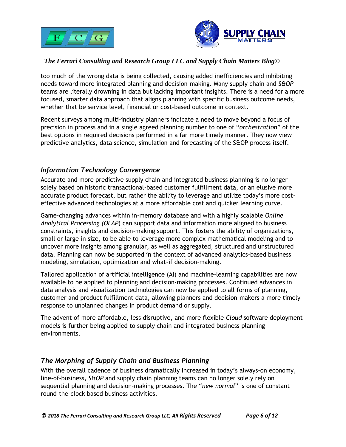



too much of the wrong data is being collected, causing added inefficiencies and inhibiting needs toward more integrated planning and decision-making. Many supply chain and *S&OP* teams are literally drowning in data but lacking important insights. There is a need for a more focused, smarter data approach that aligns planning with specific business outcome needs, whether that be service level, financial or cost-based outcome in context.

Recent surveys among multi-industry planners indicate a need to move beyond a focus of precision in process and in a single agreed planning number to one of "*orchestration*" of the best options in required decisions performed in a far more timely manner. They now view predictive analytics, data science, simulation and forecasting of the S&OP process itself.

## <span id="page-5-0"></span>*Information Technology Convergence*

Accurate and more predictive supply chain and integrated business planning is no longer solely based on historic transactional-based customer fulfillment data, or an elusive more accurate product forecast, but rather the ability to leverage and utilize today's more costeffective advanced technologies at a more affordable cost and quicker learning curve.

Game-changing advances within in-memory database and with a highly scalable *Online Analytical Processing (OLAP*) can support data and information more aligned to business constraints, insights and decision-making support. This fosters the ability of organizations, small or large in size, to be able to leverage more complex mathematical modeling and to uncover more insights among granular, as well as aggregated, structured and unstructured data. Planning can now be supported in the context of advanced analytics-based business modeling, simulation, optimization and what-if decision-making.

Tailored application of artificial intelligence (AI) and machine-learning capabilities are now available to be applied to planning and decision-making processes. Continued advances in data analysis and visualization technologies can now be applied to all forms of planning, customer and product fulfillment data, allowing planners and decision-makers a more timely response to unplanned changes in product demand or supply.

The advent of more affordable, less disruptive, and more flexible *Cloud* software deployment models is further being applied to supply chain and integrated business planning environments.

# <span id="page-5-1"></span>*The Morphing of Supply Chain and Business Planning*

With the overall cadence of business dramatically increased in today's always-on economy, line-of-business, *S&OP* and supply chain planning teams can no longer solely rely on sequential planning and decision-making processes. The "*new normal*" is one of constant round-the-clock based business activities.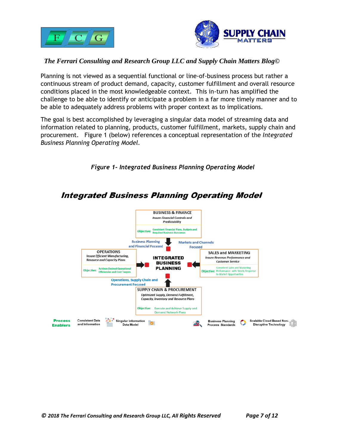



Planning is not viewed as a sequential functional or line-of-business process but rather a continuous stream of product demand, capacity, customer fulfillment and overall resource conditions placed in the most knowledgeable context. This in-turn has amplified the challenge to be able to identify or anticipate a problem in a far more timely manner and to be able to adequately address problems with proper context as to implications.

The goal is best accomplished by leveraging a singular data model of streaming data and information related to planning, products, customer fulfillment, markets, supply chain and procurement. Figure 1 (below) references a conceptual representation of the *Integrated Business Planning Operating Model.*



*Figure 1- Integrated Business Planning Operating Model*

**Integrated Business Planning Operating Model**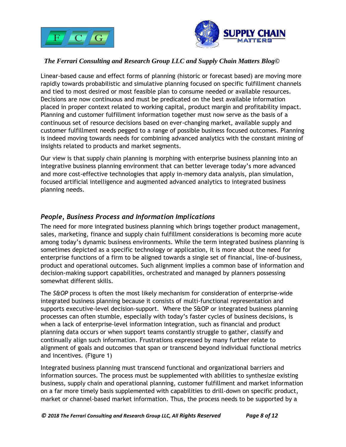



Linear-based cause and effect forms of planning (historic or forecast based) are moving more rapidly towards probabilistic and simulative planning focused on specific fulfillment channels and tied to most desired or most feasible plan to consume needed or available resources. Decisions are now continuous and must be predicated on the best available information placed in proper context related to working capital, product margin and profitability impact. Planning and customer fulfillment information together must now serve as the basis of a continuous set of resource decisions based on ever-changing market, available supply and customer fulfillment needs pegged to a range of possible business focused outcomes. Planning is indeed moving towards needs for combining advanced analytics with the constant mining of insights related to products and market segments.

Our view is that supply chain planning is morphing with enterprise business planning into an integrative business planning environment that can better leverage today's more advanced and more cost-effective technologies that apply in-memory data analysis, plan simulation, focused artificial intelligence and augmented advanced analytics to integrated business planning needs.

## <span id="page-7-0"></span>*People, Business Process and Information Implications*

The need for more integrated business planning which brings together product management, sales, marketing, finance and supply chain fulfillment considerations is becoming more acute among today's dynamic business environments. While the term integrated business planning is sometimes depicted as a specific technology or application, it is more about the need for enterprise functions of a firm to be aligned towards a single set of financial, line-of-business, product and operational outcomes. Such alignment implies a common base of information and decision-making support capabilities, orchestrated and managed by planners possessing somewhat different skills.

The *S&OP* process is often the most likely mechanism for consideration of enterprise-wide integrated business planning because it consists of multi-functional representation and supports executive-level decision-support. Where the S&OP or integrated business planning processes can often stumble, especially with today's faster cycles of business decisions, is when a lack of enterprise-level information integration, such as financial and product planning data occurs or when support teams constantly struggle to gather, classify and continually align such information. Frustrations expressed by many further relate to alignment of goals and outcomes that span or transcend beyond individual functional metrics and incentives. (Figure 1)

Integrated business planning must transcend functional and organizational barriers and information sources. The process must be supplemented with abilities to synthesize existing business, supply chain and operational planning, customer fulfillment and market information on a far more timely basis supplemented with capabilities to drill-down on specific product, market or channel-based market information. Thus, the process needs to be supported by a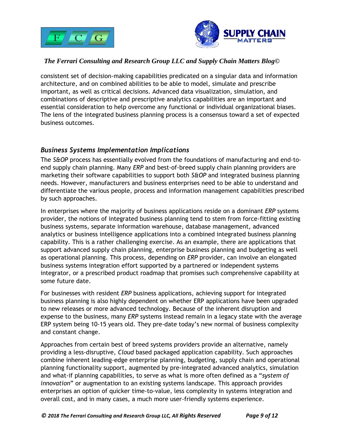



consistent set of decision-making capabilities predicated on a singular data and information architecture, and on combined abilities to be able to model, simulate and prescribe important, as well as critical decisions. Advanced data visualization, simulation, and combinations of descriptive and prescriptive analytics capabilities are an important and essential consideration to help overcome any functional or individual organizational biases. The lens of the integrated business planning process is a consensus toward a set of expected business outcomes.

#### <span id="page-8-0"></span>*Business Systems Implementation Implications*

The *S&OP* process has essentially evolved from the foundations of manufacturing and end-toend supply chain planning. Many *ERP* and best-of-breed supply chain planning providers are marketing their software capabilities to support both *S&OP* and integrated business planning needs. However, manufacturers and business enterprises need to be able to understand and differentiate the various people, process and information management capabilities prescribed by such approaches.

In enterprises where the majority of business applications reside on a dominant *ERP* systems provider, the notions of integrated business planning tend to stem from force-fitting existing business systems, separate information warehouse, database management, advanced analytics or business intelligence applications into a combined integrated business planning capability. This is a rather challenging exercise. As an example, there are applications that support advanced supply chain planning, enterprise business planning and budgeting as well as operational planning. This process, depending on *ERP* provider, can involve an elongated business systems integration effort supported by a partnered or independent systems integrator, or a prescribed product roadmap that promises such comprehensive capability at some future date.

For businesses with resident *ERP* business applications, achieving support for integrated business planning is also highly dependent on whether ERP applications have been upgraded to new releases or more advanced technology. Because of the inherent disruption and expense to the business, many *ERP* systems instead remain in a legacy state with the average ERP system being 10-15 years old. They pre-date today's new normal of business complexity and constant change.

Approaches from certain best of breed systems providers provide an alternative, namely providing a less-disruptive, *Cloud* based packaged application capability. Such approaches combine inherent leading-edge enterprise planning, budgeting, supply chain and operational planning functionality support, augmented by pre-integrated advanced analytics, simulation and what-if planning capabilities, to serve as what is more often defined as a "*system of innovation*" or augmentation to an existing systems landscape. This approach provides enterprises an option of quicker time-to-value, less complexity in systems integration and overall cost, and in many cases, a much more user-friendly systems experience.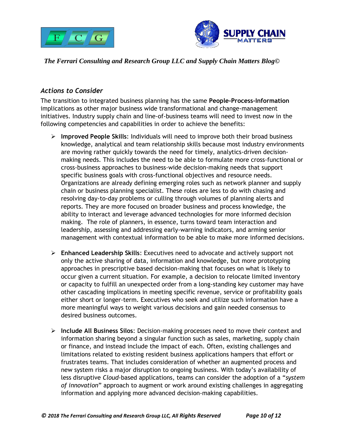



# <span id="page-9-0"></span>*Actions to Consider*

The transition to integrated business planning has the same **People-Process-Information** implications as other major business wide transformational and change-management initiatives. Industry supply chain and line-of-business teams will need to invest now in the following competencies and capabilities in order to achieve the benefits:

- ➢ **Improved People Skills**: Individuals will need to improve both their broad business knowledge, analytical and team relationship skills because most industry environments are moving rather quickly towards the need for timely, analytics-driven decisionmaking needs. This includes the need to be able to formulate more cross-functional or cross-business approaches to business-wide decision-making needs that support specific business goals with cross-functional objectives and resource needs. Organizations are already defining emerging roles such as network planner and supply chain or business planning specialist. These roles are less to do with chasing and resolving day-to-day problems or culling through volumes of planning alerts and reports. They are more focused on broader business and process knowledge, the ability to interact and leverage advanced technologies for more informed decision making. The role of planners, in essence, turns toward team interaction and leadership, assessing and addressing early-warning indicators, and arming senior management with contextual information to be able to make more informed decisions.
- ➢ **Enhanced Leadership Skills**: Executives need to advocate and actively support not only the active sharing of data, information and knowledge, but more prototyping approaches in prescriptive based decision-making that focuses on what is likely to occur given a current situation. For example, a decision to relocate limited inventory or capacity to fulfill an unexpected order from a long-standing key customer may have other cascading implications in meeting specific revenue, service or profitability goals either short or longer-term. Executives who seek and utilize such information have a more meaningful ways to weight various decisions and gain needed consensus to desired business outcomes.
- ➢ **Include All Business Silos**: Decision-making processes need to move their context and information sharing beyond a singular function such as sales, marketing, supply chain or finance, and instead include the impact of each. Often, existing challenges and limitations related to existing resident business applications hampers that effort or frustrates teams. That includes consideration of whether an augmented process and new system risks a major disruption to ongoing business. With today's availability of less disruptive *Cloud*-based applications, teams can consider the adoption of a "*system of innovation*" approach to augment or work around existing challenges in aggregating information and applying more advanced decision-making capabilities.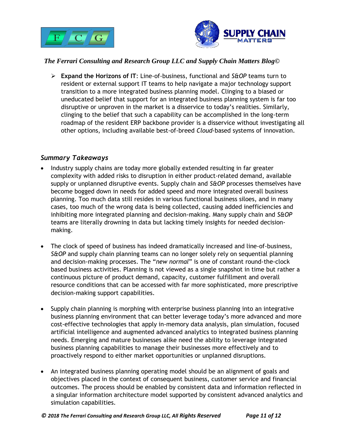



➢ **Expand the Horizons of IT**: Line-of-business, functional and *S&OP* teams turn to resident or external support IT teams to help navigate a major technology support transition to a more integrated business planning model. Clinging to a biased or uneducated belief that support for an integrated business planning system is far too disruptive or unproven in the market is a disservice to today's realities. Similarly, clinging to the belief that such a capability can be accomplished in the long-term roadmap of the resident ERP backbone provider is a disservice without investigating all other options, including available best-of-breed *Cloud*-based systems of innovation.

#### <span id="page-10-0"></span>*Summary Takeaways*

- Industry supply chains are today more globally extended resulting in far greater complexity with added risks to disruption in either product-related demand, available supply or unplanned disruptive events. Supply chain and *S&OP* processes themselves have become bogged down in needs for added speed and more integrated overall business planning. Too much data still resides in various functional business siloes, and in many cases, too much of the wrong data is being collected, causing added inefficiencies and inhibiting more integrated planning and decision-making. Many supply chain and *S&OP* teams are literally drowning in data but lacking timely insights for needed decisionmaking.
- The clock of speed of business has indeed dramatically increased and line-of-business, *S&OP* and supply chain planning teams can no longer solely rely on sequential planning and decision-making processes. The "*new normal*" is one of constant round-the-clock based business activities. Planning is not viewed as a single snapshot in time but rather a continuous picture of product demand, capacity, customer fulfillment and overall resource conditions that can be accessed with far more sophisticated, more prescriptive decision-making support capabilities.
- Supply chain planning is morphing with enterprise business planning into an integrative business planning environment that can better leverage today's more advanced and more cost-effective technologies that apply in-memory data analysis, plan simulation, focused artificial intelligence and augmented advanced analytics to integrated business planning needs. Emerging and mature businesses alike need the ability to leverage integrated business planning capabilities to manage their businesses more effectively and to proactively respond to either market opportunities or unplanned disruptions.
- An integrated business planning operating model should be an alignment of goals and objectives placed in the context of consequent business, customer service and financial outcomes. The process should be enabled by consistent data and information reflected in a singular information architecture model supported by consistent advanced analytics and simulation capabilities.